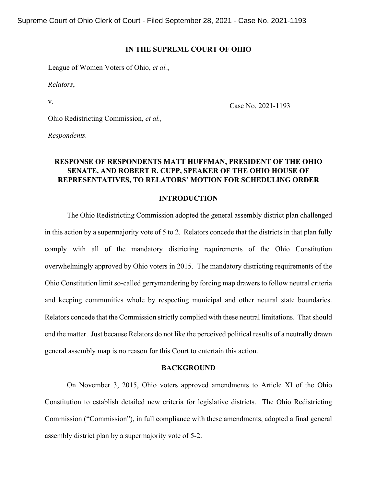## **IN THE SUPREME COURT OF OHIO**

League of Women Voters of Ohio, *et al.*,

*Relators*,

v.

Case No. 2021-1193

Ohio Redistricting Commission, *et al.,*

*Respondents.*

# **RESPONSE OF RESPONDENTS MATT HUFFMAN, PRESIDENT OF THE OHIO SENATE, AND ROBERT R. CUPP, SPEAKER OF THE OHIO HOUSE OF REPRESENTATIVES, TO RELATORS' MOTION FOR SCHEDULING ORDER**

## **INTRODUCTION**

The Ohio Redistricting Commission adopted the general assembly district plan challenged in this action by a supermajority vote of 5 to 2. Relators concede that the districts in that plan fully comply with all of the mandatory districting requirements of the Ohio Constitution overwhelmingly approved by Ohio voters in 2015. The mandatory districting requirements of the Ohio Constitution limit so-called gerrymandering by forcing map drawers to follow neutral criteria and keeping communities whole by respecting municipal and other neutral state boundaries. Relators concede that the Commission strictly complied with these neutral limitations. That should end the matter. Just because Relators do not like the perceived political results of a neutrally drawn general assembly map is no reason for this Court to entertain this action.

#### **BACKGROUND**

On November 3, 2015, Ohio voters approved amendments to Article XI of the Ohio Constitution to establish detailed new criteria for legislative districts. The Ohio Redistricting Commission ("Commission"), in full compliance with these amendments, adopted a final general assembly district plan by a supermajority vote of 5-2.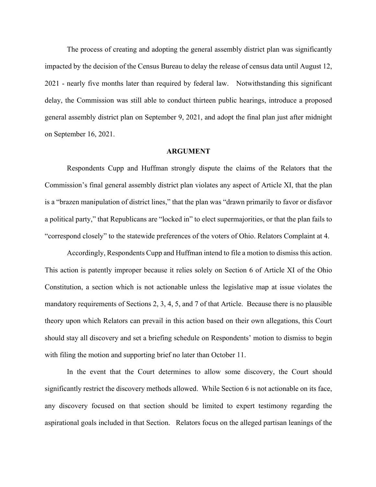The process of creating and adopting the general assembly district plan was significantly impacted by the decision of the Census Bureau to delay the release of census data until August 12, 2021 - nearly five months later than required by federal law. Notwithstanding this significant delay, the Commission was still able to conduct thirteen public hearings, introduce a proposed general assembly district plan on September 9, 2021, and adopt the final plan just after midnight on September 16, 2021.

#### **ARGUMENT**

Respondents Cupp and Huffman strongly dispute the claims of the Relators that the Commission's final general assembly district plan violates any aspect of Article XI, that the plan is a "brazen manipulation of district lines," that the plan was "drawn primarily to favor or disfavor a political party," that Republicans are "locked in" to elect supermajorities, or that the plan fails to "correspond closely" to the statewide preferences of the voters of Ohio. Relators Complaint at 4.

Accordingly, Respondents Cupp and Huffman intend to file a motion to dismiss this action. This action is patently improper because it relies solely on Section 6 of Article XI of the Ohio Constitution, a section which is not actionable unless the legislative map at issue violates the mandatory requirements of Sections 2, 3, 4, 5, and 7 of that Article. Because there is no plausible theory upon which Relators can prevail in this action based on their own allegations, this Court should stay all discovery and set a briefing schedule on Respondents' motion to dismiss to begin with filing the motion and supporting brief no later than October 11.

In the event that the Court determines to allow some discovery, the Court should significantly restrict the discovery methods allowed. While Section 6 is not actionable on its face, any discovery focused on that section should be limited to expert testimony regarding the aspirational goals included in that Section. Relators focus on the alleged partisan leanings of the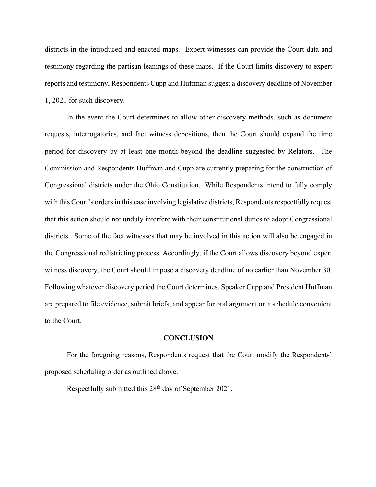districts in the introduced and enacted maps. Expert witnesses can provide the Court data and testimony regarding the partisan leanings of these maps. If the Court limits discovery to expert reports and testimony, Respondents Cupp and Huffman suggest a discovery deadline of November 1, 2021 for such discovery.

In the event the Court determines to allow other discovery methods, such as document requests, interrogatories, and fact witness depositions, then the Court should expand the time period for discovery by at least one month beyond the deadline suggested by Relators. The Commission and Respondents Huffman and Cupp are currently preparing for the construction of Congressional districts under the Ohio Constitution. While Respondents intend to fully comply with this Court's orders in this case involving legislative districts, Respondents respectfully request that this action should not unduly interfere with their constitutional duties to adopt Congressional districts. Some of the fact witnesses that may be involved in this action will also be engaged in the Congressional redistricting process. Accordingly, if the Court allows discovery beyond expert witness discovery, the Court should impose a discovery deadline of no earlier than November 30. Following whatever discovery period the Court determines, Speaker Cupp and President Huffman are prepared to file evidence, submit briefs, and appear for oral argument on a schedule convenient to the Court.

### **CONCLUSION**

For the foregoing reasons, Respondents request that the Court modify the Respondents' proposed scheduling order as outlined above.

Respectfully submitted this 28<sup>th</sup> day of September 2021.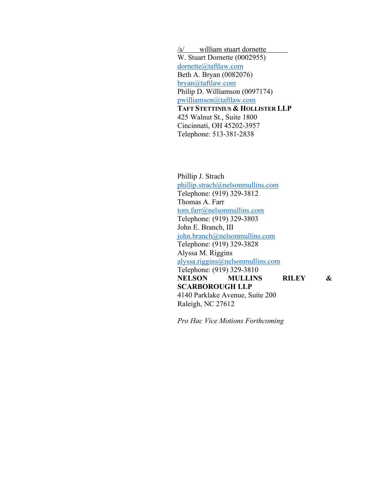/s/ william stuart dornette W. Stuart Dornette (0002955) dornette@taftlaw.com Beth A. Bryan (0082076) bryan@taftlaw.com Philip D. Williamson (0097174) pwilliamson@taftlaw.com **TAFT STETTINIUS & HOLLISTER LLP** 425 Walnut St., Suite 1800 Cincinnati, OH 45202-3957 Telephone: 513-381-2838

Phillip J. Strach phillip.strach@nelsonmullins.com Telephone: (919) 329-3812 Thomas A. Farr tom.farr@nelsonmullins.com Telephone: (919) 329-3803 John E. Branch, III john.branch@nelsonmullins.com Telephone: (919) 329-3828 Alyssa M. Riggins alyssa.riggins@nelsonmullins.com Telephone: (919) 329-3810 **NELSON MULLINS RILEY & SCARBOROUGH LLP** 4140 Parklake Avenue, Suite 200 Raleigh, NC 27612

*Pro Hac Vice Motions Forthcoming*